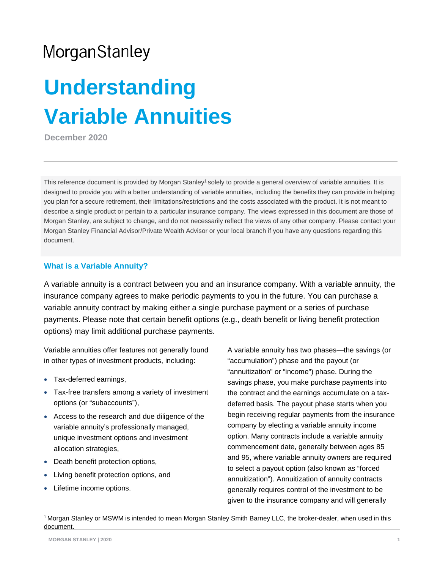# **Understanding Variable Annuities**

**December 2020**

This reference document is provided by Morgan Stanley<sup>1</sup> solely to provide a general overview of variable annuities. It is designed to provide you with a better understanding of variable annuities, including the benefits they can provide in helping you plan for a secure retirement, their limitations/restrictions and the costs associated with the product. It is not meant to describe a single product or pertain to a particular insurance company. The views expressed in this document are those of Morgan Stanley, are subject to change, and do not necessarily reflect the views of any other company. Please contact your Morgan Stanley Financial Advisor/Private Wealth Advisor or your local branch if you have any questions regarding this document.

#### **What is a Variable Annuity?**

A variable annuity is a contract between you and an insurance company. With a variable annuity, the insurance company agrees to make periodic payments to you in the future. You can purchase a variable annuity contract by making either a single purchase payment or a series of purchase payments. Please note that certain benefit options (e.g., death benefit or living benefit protection options) may limit additional purchase payments.

Variable annuities offer features not generally found in other types of investment products, including:

- Tax-deferred earnings,
- Tax-free transfers among a variety of investment options (or "subaccounts"),
- Access to the research and due diligence of the variable annuity's professionally managed, unique investment options and investment allocation strategies,
- Death benefit protection options,
- Living benefit protection options, and
- Lifetime income options.

A variable annuity has two phases—the savings (or "accumulation") phase and the payout (or "annuitization" or "income") phase. During the savings phase, you make purchase payments into the contract and the earnings accumulate on a taxdeferred basis. The payout phase starts when you begin receiving regular payments from the insurance company by electing a variable annuity income option. Many contracts include a variable annuity commencement date, generally between ages 85 and 95, where variable annuity owners are required to select a payout option (also known as "forced annuitization"). Annuitization of annuity contracts generally requires control of the investment to be given to the insurance company and will generally

<sup>1</sup>Morgan Stanley or MSWM is intended to mean Morgan Stanley Smith Barney LLC, the broker-dealer, when used in this document.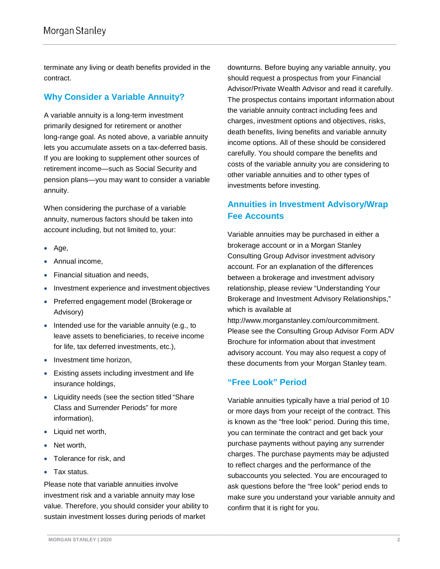terminate any living or death benefits provided in the contract.

# **Why Consider a Variable Annuity?**

A variable annuity is a long-term investment primarily designed for retirement or another long-range goal. As noted above, a variable annuity lets you accumulate assets on a tax-deferred basis. If you are looking to supplement other sources of retirement income—such as Social Security and pension plans—you may want to consider a variable annuity.

When considering the purchase of a variable annuity, numerous factors should be taken into account including, but not limited to, your:

- Age,
- Annual income,
- Financial situation and needs,
- Investment experience and investment objectives
- Preferred engagement model (Brokerage or Advisory)
- Intended use for the variable annuity (e.g., to leave assets to beneficiaries, to receive income for life, tax deferred investments, etc.),
- Investment time horizon,
- Existing assets including investment and life insurance holdings,
- Liquidity needs (see the section titled "Share Class and Surrender Periods" for more information),
- Liquid net worth,
- Net worth,
- Tolerance for risk, and
- Tax status.

Please note that variable annuities involve investment risk and a variable annuity may lose value. Therefore, you should consider your ability to sustain investment losses during periods of market

downturns. Before buying any variable annuity, you should request a prospectus from your Financial Advisor/Private Wealth Advisor and read it carefully. The prospectus contains important information about the variable annuity contract including fees and charges, investment options and objectives, risks, death benefits, living benefits and variable annuity income options. All of these should be considered carefully. You should compare the benefits and costs of the variable annuity you are considering to other variable annuities and to other types of investments before investing.

# **Annuities in Investment Advisory/Wrap Fee Accounts**

Variable annuities may be purchased in either a brokerage account or in a Morgan Stanley Consulting Group Advisor investment advisory account. For an explanation of the differences between a brokerage and investment advisory relationship, please review "Understanding Your Brokerage and Investment Advisory Relationships," which is available at

[http://www.morganstanley.com/ourcommitment.](http://www.morganstanley.com/ourcommitment) Please see the Consulting Group Advisor Form ADV Brochure for information about that investment advisory account. You may also request a copy of these documents from your Morgan Stanley team.

## **"Free Look" Period**

Variable annuities typically have a trial period of 10 or more days from your receipt of the contract. This is known as the "free look" period. During this time, you can terminate the contract and get back your purchase payments without paying any surrender charges. The purchase payments may be adjusted to reflect charges and the performance of the subaccounts you selected. You are encouraged to ask questions before the "free look" period ends to make sure you understand your variable annuity and confirm that it is right for you.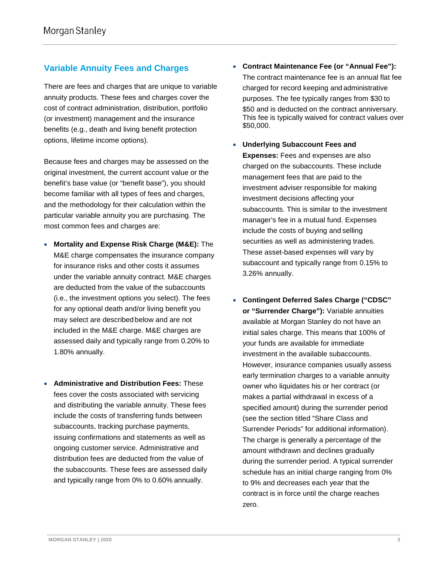# **Variable Annuity Fees and Charges**

There are fees and charges that are unique to variable annuity products. These fees and charges cover the cost of contract administration, distribution, portfolio (or investment) management and the insurance benefits (e.g., death and living benefit protection options, lifetime income options).

Because fees and charges may be assessed on the original investment, the current account value or the benefit's base value (or "benefit base"), you should become familiar with all types of fees and charges, and the methodology for their calculation within the particular variable annuity you are purchasing. The most common fees and charges are:

- **Mortality and Expense Risk Charge (M&E):** The M&E charge compensates the insurance company for insurance risks and other costs it assumes under the variable annuity contract. M&E charges are deducted from the value of the subaccounts (i.e., the investment options you select). The fees for any optional death and/or living benefit you may select are described below and are not included in the M&E charge. M&E charges are assessed daily and typically range from 0.20% to 1.80% annually.
- **Administrative and Distribution Fees:** These fees cover the costs associated with servicing and distributing the variable annuity. These fees include the costs of transferring funds between subaccounts, tracking purchase payments, issuing confirmations and statements as well as ongoing customer service. Administrative and distribution fees are deducted from the value of the subaccounts. These fees are assessed daily and typically range from 0% to 0.60% annually.
- **Contract Maintenance Fee (or "Annual Fee"):**  The contract maintenance fee is an annual flat fee charged for record keeping and administrative purposes. The fee typically ranges from \$30 to \$50 and is deducted on the contract anniversary. This fee is typically waived for contract values over \$50,000.
- **Underlying Subaccount Fees and Expenses:** Fees and expenses are also charged on the subaccounts. These include management fees that are paid to the investment adviser responsible for making investment decisions affecting your subaccounts. This is similar to the investment manager's fee in a mutual fund. Expenses include the costs of buying and selling securities as well as administering trades. These asset-based expenses will vary by subaccount and typically range from 0.15% to 3.26% annually.
- **Contingent Deferred Sales Charge ("CDSC" or "Surrender Charge"):** Variable annuities available at Morgan Stanley do not have an initial sales charge. This means that 100% of your funds are available for immediate investment in the available subaccounts. However, insurance companies usually assess early termination charges to a variable annuity owner who liquidates his or her contract (or makes a partial withdrawal in excess of a specified amount) during the surrender period (see the section titled "Share Class and Surrender Periods" for additional information). The charge is generally a percentage of the amount withdrawn and declines gradually during the surrender period. A typical surrender schedule has an initial charge ranging from 0% to 9% and decreases each year that the contract is in force until the charge reaches zero.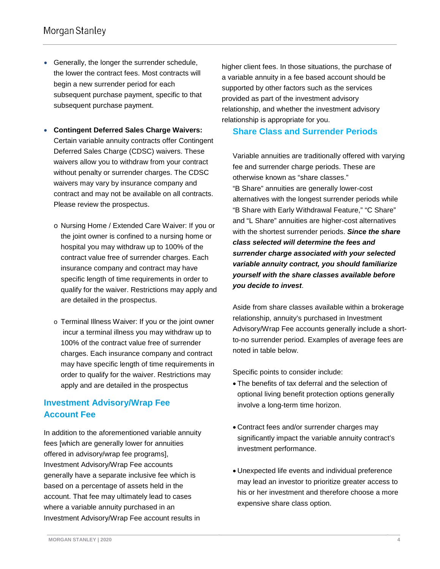- Generally, the longer the surrender schedule, the lower the contract fees. Most contracts will begin a new surrender period for each subsequent purchase payment, specific to that subsequent purchase payment.
- **Contingent Deferred Sales Charge Waivers:**  Certain variable annuity contracts offer Contingent Deferred Sales Charge (CDSC) waivers. These waivers allow you to withdraw from your contract without penalty or surrender charges. The CDSC waivers may vary by insurance company and contract and may not be available on all contracts. Please review the prospectus.
	- o Nursing Home / Extended Care Waiver: If you or the joint owner is confined to a nursing home or hospital you may withdraw up to 100% of the contract value free of surrender charges. Each insurance company and contract may have specific length of time requirements in order to qualify for the waiver. Restrictions may apply and are detailed in the prospectus.
	- o Terminal Illness Waiver: If you or the joint owner incur a terminal illness you may withdraw up to 100% of the contract value free of surrender charges. Each insurance company and contract may have specific length of time requirements in order to qualify for the waiver. Restrictions may apply and are detailed in the prospectus

# **Investment Advisory/Wrap Fee Account Fee**

In addition to the aforementioned variable annuity fees [which are generally lower for annuities offered in advisory/wrap fee programs], Investment Advisory/Wrap Fee accounts generally have a separate inclusive fee which is based on a percentage of assets held in the account. That fee may ultimately lead to cases where a variable annuity purchased in an Investment Advisory/Wrap Fee account results in

higher client fees. In those situations, the purchase of a variable annuity in a fee based account should be supported by other factors such as the services provided as part of the investment advisory relationship, and whether the investment advisory relationship is appropriate for you.

#### **Share Class and Surrender Periods**

Variable annuities are traditionally offered with varying fee and surrender charge periods. These are otherwise known as "share classes." "B Share" annuities are generally lower-cost alternatives with the longest surrender periods while "B Share with Early Withdrawal Feature," "C Share" and "L Share" annuities are higher-cost alternatives with the shortest surrender periods. *Since the share class selected will determine the fees and surrender charge associated with your selected variable annuity contract, you should familiarize yourself with the share classes available before you decide to invest*.

Aside from share classes available within a brokerage relationship, annuity's purchased in Investment Advisory/Wrap Fee accounts generally include a shortto-no surrender period. Examples of average fees are noted in table below.

Specific points to consider include:

- The benefits of tax deferral and the selection of optional living benefit protection options generally involve a long-term time horizon.
- Contract fees and/or surrender charges may significantly impact the variable annuity contract's investment performance.
- Unexpected life events and individual preference may lead an investor to prioritize greater access to his or her investment and therefore choose a more expensive share class option.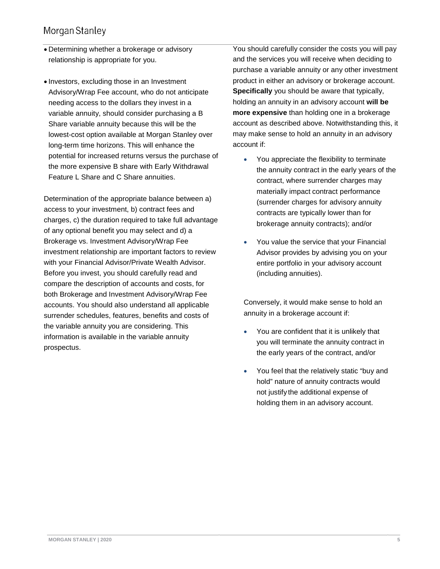- Determining whether a brokerage or advisory relationship is appropriate for you.
- Investors, excluding those in an Investment Advisory/Wrap Fee account, who do not anticipate needing access to the dollars they invest in a variable annuity, should consider purchasing a B Share variable annuity because this will be the lowest-cost option available at Morgan Stanley over long-term time horizons. This will enhance the potential for increased returns versus the purchase of the more expensive B share with Early Withdrawal Feature L Share and C Share annuities.

Determination of the appropriate balance between a) access to your investment, b) contract fees and charges, c) the duration required to take full advantage of any optional benefit you may select and d) a Brokerage vs. Investment Advisory/Wrap Fee investment relationship are important factors to review with your Financial Advisor/Private Wealth Advisor. Before you invest, you should carefully read and compare the description of accounts and costs, for both Brokerage and Investment Advisory/Wrap Fee accounts. You should also understand all applicable surrender schedules, features, benefits and costs of the variable annuity you are considering. This information is available in the variable annuity prospectus.

You should carefully consider the costs you will pay and the services you will receive when deciding to purchase a variable annuity or any other investment product in either an advisory or brokerage account. **Specifically** you should be aware that typically, holding an annuity in an advisory account **will be more expensive** than holding one in a brokerage account as described above. Notwithstanding this, it may make sense to hold an annuity in an advisory account if:

- You appreciate the flexibility to terminate the annuity contract in the early years of the contract, where surrender charges may materially impact contract performance (surrender charges for advisory annuity contracts are typically lower than for brokerage annuity contracts); and/or
- You value the service that your Financial Advisor provides by advising you on your entire portfolio in your advisory account (including annuities).

Conversely, it would make sense to hold an annuity in a brokerage account if:

- You are confident that it is unlikely that you will terminate the annuity contract in the early years of the contract, and/or
- You feel that the relatively static "buy and hold" nature of annuity contracts would not justify the additional expense of holding them in an advisory account.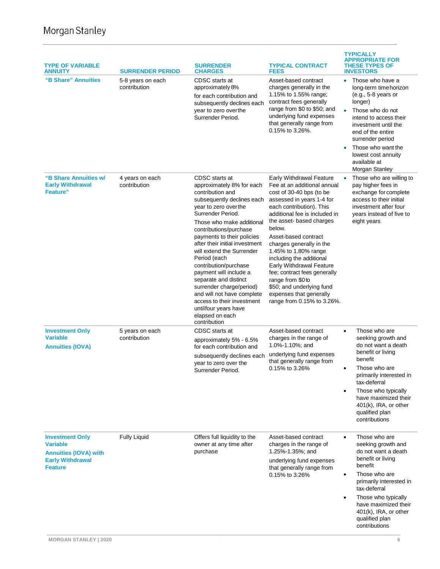| <b>TYPE OF VARIABLE</b><br><b>ANNUITY</b>                                                                              | <b>SURRENDER PERIOD</b>           | <b>SURRENDER</b><br><b>CHARGES</b>                                                                                                                                                                                                                                                                                                                                                                                                                                                                                                            | <b>TYPICAL CONTRACT</b><br><b>FEES</b>                                                                                                                                                                                                                                                                                                                                                                                                                                                                   | TYPICALLY<br><b>APPROPRIATE FOR</b><br><b>THESE TYPES OF</b><br><b>INVESTORS</b>                                                                                                                                                                                                                         |
|------------------------------------------------------------------------------------------------------------------------|-----------------------------------|-----------------------------------------------------------------------------------------------------------------------------------------------------------------------------------------------------------------------------------------------------------------------------------------------------------------------------------------------------------------------------------------------------------------------------------------------------------------------------------------------------------------------------------------------|----------------------------------------------------------------------------------------------------------------------------------------------------------------------------------------------------------------------------------------------------------------------------------------------------------------------------------------------------------------------------------------------------------------------------------------------------------------------------------------------------------|----------------------------------------------------------------------------------------------------------------------------------------------------------------------------------------------------------------------------------------------------------------------------------------------------------|
| "B Share" Annuities                                                                                                    | 5-8 years on each<br>contribution | CDSC starts at<br>approximately 8%<br>for each contribution and<br>subsequently declines each<br>year to zero overthe<br>Surrender Period.                                                                                                                                                                                                                                                                                                                                                                                                    | Asset-based contract<br>charges generally in the<br>1.15% to 1.55% range;<br>contract fees generally<br>range from \$0 to \$50; and<br>underlying fund expenses<br>that generally range from<br>0.15% to 3.26%.                                                                                                                                                                                                                                                                                          | Those who have a<br>$\bullet$<br>long-term time horizon<br>$(e.g., 5-8 years or$<br>longer)<br>Those who do not<br>$\bullet$<br>intend to access their<br>investment until the<br>end of the entire<br>surrender period<br>Those who want the<br>lowest cost annuity<br>available at<br>Morgan Stanley   |
| "B Share Annuities w/<br><b>Early Withdrawal</b><br><b>Feature</b> "                                                   | 4 years on each<br>contribution   | CDSC starts at<br>approximately 8% for each<br>contribution and<br>subsequently declines each<br>year to zero overthe<br>Surrender Period.<br>Those who make additional<br>contributions/purchase<br>payments to their policies<br>after their initial investment<br>will extend the Surrender<br>Period (each<br>contribution/purchase<br>payment will include a<br>separate and distinct<br>surrender charge/period)<br>and will not have complete<br>access to their investment<br>untilfour years have<br>elapsed on each<br>contribution | <b>Early Withdrawal Feature</b><br>Fee at an additional annual<br>cost of 30-40 bps (to be<br>assessed in years 1-4 for<br>each contribution). This<br>additional fee is included in<br>the asset-based charges<br>below.<br>Asset-based contract<br>charges generally in the<br>1.45% to 1.80% range<br>including the additional<br>Early Withdrawal Feature<br>fee; contract fees generally<br>range from \$0 to<br>\$50; and underlying fund<br>expenses that generally<br>range from 0.15% to 3.26%. | Those who are willing to<br>٠<br>pay higher fees in<br>exchange for complete<br>access to their initial<br>investment after four<br>years instead of five to<br>eight years                                                                                                                              |
| <b>Investment Only</b><br><b>Variable</b><br><b>Annuities (IOVA)</b>                                                   | 5 years on each<br>contribution   | CDSC starts at<br>approximately 5% - 6.5%<br>for each contribution and<br>subsequently declines each<br>year to zero over the<br>Surrender Period.                                                                                                                                                                                                                                                                                                                                                                                            | Asset-based contract<br>charges in the range of<br>1.0%-1.10%; and<br>underlying fund expenses<br>that generally range from<br>0.15% to 3.26%                                                                                                                                                                                                                                                                                                                                                            | Those who are<br>$\bullet$<br>seeking growth and<br>do not want a death<br>benefit or living<br>benefit<br>Those who are<br>$\bullet$<br>primarily interested in<br>tax-deferral<br>Those who typically<br>$\bullet$<br>have maximized their<br>401(k), IRA, or other<br>qualified plan<br>contributions |
| <b>Investment Only</b><br><b>Variable</b><br><b>Annuities (IOVA) with</b><br><b>Early Withdrawal</b><br><b>Feature</b> | <b>Fully Liquid</b>               | Offers full liquidity to the<br>owner at any time after<br>purchase                                                                                                                                                                                                                                                                                                                                                                                                                                                                           | Asset-based contract<br>charges in the range of<br>1.25%-1.35%; and<br>underlying fund expenses<br>that generally range from<br>0.15% to 3.26%                                                                                                                                                                                                                                                                                                                                                           | Those who are<br>$\bullet$<br>seeking growth and<br>do not want a death<br>benefit or living<br>benefit<br>Those who are<br>$\bullet$<br>primarily interested in<br>tax-deferral<br>Those who typically<br>$\bullet$<br>have maximized their<br>401(k), IRA, or other<br>qualified plan<br>contributions |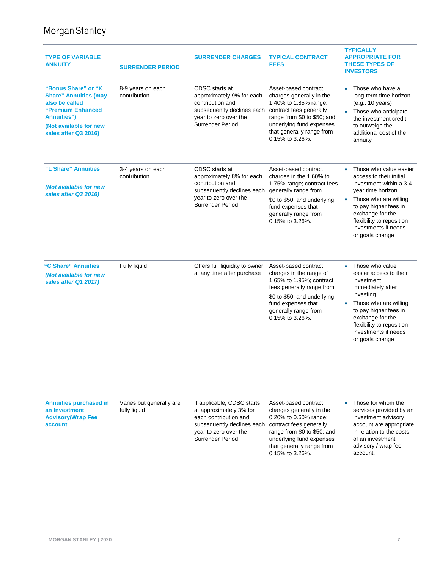| <b>TYPE OF VARIABLE</b><br><b>ANNUITY</b>                                                                                                                          | <b>SURRENDER PERIOD</b>                  | <b>SURRENDER CHARGES</b>                                                                                                                                                  | <b>TYPICAL CONTRACT</b><br><b>FEES</b>                                                                                                                                                                          | <b>TYPICALLY</b><br><b>APPROPRIATE FOR</b><br><b>THESE TYPES OF</b><br><b>INVESTORS</b>                                                                                                                                                                           |
|--------------------------------------------------------------------------------------------------------------------------------------------------------------------|------------------------------------------|---------------------------------------------------------------------------------------------------------------------------------------------------------------------------|-----------------------------------------------------------------------------------------------------------------------------------------------------------------------------------------------------------------|-------------------------------------------------------------------------------------------------------------------------------------------------------------------------------------------------------------------------------------------------------------------|
| "Bonus Share" or "X<br><b>Share" Annuities (may</b><br>also be called<br>"Premium Enhanced<br><b>Annuities")</b><br>(Not available for new<br>sales after Q3 2016) | 8-9 years on each<br>contribution        | CDSC starts at<br>approximately 9% for each<br>contribution and<br>subsequently declines each contract fees generally<br>year to zero over the<br><b>Surrender Period</b> | Asset-based contract<br>charges generally in the<br>1.40% to 1.85% range;<br>range from \$0 to \$50; and<br>underlying fund expenses<br>that generally range from<br>0.15% to 3.26%.                            | • Those who have a<br>long-term time horizon<br>(e.g., 10 years)<br>Those who anticipate<br>the investment credit<br>to outweigh the<br>additional cost of the<br>annuity                                                                                         |
| "L Share" Annuities<br>(Not available for new<br>sales after Q3 2016)                                                                                              | 3-4 years on each<br>contribution        | CDSC starts at<br>approximately 8% for each<br>contribution and<br>subsequently declines each generally range from<br>year to zero over the<br><b>Surrender Period</b>    | Asset-based contract<br>charges in the 1.60% to<br>1.75% range; contract fees<br>\$0 to \$50; and underlying<br>fund expenses that<br>generally range from<br>0.15% to 3.26%.                                   | Those who value easier<br>access to their initial<br>investment within a 3-4<br>year time horizon<br>Those who are willing<br>$\bullet$<br>to pay higher fees in<br>exchange for the<br>flexibility to reposition<br>investments if needs<br>or goals change      |
| "C Share" Annuities<br>(Not available for new<br>sales after Q1 2017)                                                                                              | Fully liquid                             | Offers full liquidity to owner<br>at any time after purchase                                                                                                              | Asset-based contract<br>charges in the range of<br>1.65% to 1.95%; contract<br>fees generally range from<br>\$0 to \$50; and underlying<br>fund expenses that<br>generally range from<br>0.15% to 3.26%.        | Those who value<br>$\bullet$<br>easier access to their<br>investment<br>immediately after<br>investing<br>Those who are willing<br>$\bullet$<br>to pay higher fees in<br>exchange for the<br>flexibility to reposition<br>investments if needs<br>or goals change |
| <b>Annuities purchased in</b><br>an Investment<br><b>Advisory/Wrap Fee</b><br>account                                                                              | Varies but generally are<br>fully liquid | If applicable, CDSC starts<br>at approximately 3% for<br>each contribution and<br>subsequently declines each<br>year to zero over the<br><b>Surrender Period</b>          | Asset-based contract<br>charges generally in the<br>0.20% to 0.60% range;<br>contract fees generally<br>range from \$0 to \$50; and<br>underlying fund expenses<br>that generally range from<br>0.15% to 3.26%. | Those for whom the<br>$\bullet$<br>services provided by an<br>investment advisory<br>account are appropriate<br>in relation to the costs<br>of an investment<br>advisory / wrap fee<br>account.                                                                   |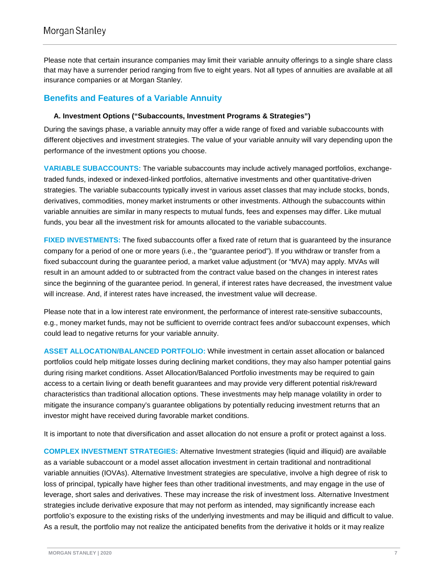Please note that certain insurance companies may limit their variable annuity offerings to a single share class that may have a surrender period ranging from five to eight years. Not all types of annuities are available at all insurance companies or at Morgan Stanley.

## **Benefits and Features of a Variable Annuity**

#### **A. Investment Options ("Subaccounts, Investment Programs & Strategies")**

During the savings phase, a variable annuity may offer a wide range of fixed and variable subaccounts with different objectives and investment strategies. The value of your variable annuity will vary depending upon the performance of the investment options you choose.

**VARIABLE SUBACCOUNTS:** The variable subaccounts may include actively managed portfolios, exchangetraded funds, indexed or indexed-linked portfolios, alternative investments and other quantitative-driven strategies. The variable subaccounts typically invest in various asset classes that may include stocks, bonds, derivatives, commodities, money market instruments or other investments. Although the subaccounts within variable annuities are similar in many respects to mutual funds, fees and expenses may differ. Like mutual funds, you bear all the investment risk for amounts allocated to the variable subaccounts.

**FIXED INVESTMENTS:** The fixed subaccounts offer a fixed rate of return that is guaranteed by the insurance company for a period of one or more years (i.e., the "guarantee period"). If you withdraw or transfer from a fixed subaccount during the guarantee period, a market value adjustment (or "MVA) may apply. MVAs will result in an amount added to or subtracted from the contract value based on the changes in interest rates since the beginning of the guarantee period. In general, if interest rates have decreased, the investment value will increase. And, if interest rates have increased, the investment value will decrease.

Please note that in a low interest rate environment, the performance of interest rate-sensitive subaccounts, e.g., money market funds, may not be sufficient to override contract fees and/or subaccount expenses, which could lead to negative returns for your variable annuity.

**ASSET ALLOCATION/BALANCED PORTFOLIO:** While investment in certain asset allocation or balanced portfolios could help mitigate losses during declining market conditions, they may also hamper potential gains during rising market conditions. Asset Allocation/Balanced Portfolio investments may be required to gain access to a certain living or death benefit guarantees and may provide very different potential risk/reward characteristics than traditional allocation options. These investments may help manage volatility in order to mitigate the insurance company's guarantee obligations by potentially reducing investment returns that an investor might have received during favorable market conditions.

It is important to note that diversification and asset allocation do not ensure a profit or protect against a loss.

**COMPLEX INVESTMENT STRATEGIES:** Alternative Investment strategies (liquid and illiquid) are available as a variable subaccount or a model asset allocation investment in certain traditional and nontraditional variable annuities (IOVAs). Alternative Investment strategies are speculative, involve a high degree of risk to loss of principal, typically have higher fees than other traditional investments, and may engage in the use of leverage, short sales and derivatives. These may increase the risk of investment loss. Alternative Investment strategies include derivative exposure that may not perform as intended, may significantly increase each portfolio's exposure to the existing risks of the underlying investments and may be illiquid and difficult to value. As a result, the portfolio may not realize the anticipated benefits from the derivative it holds or it may realize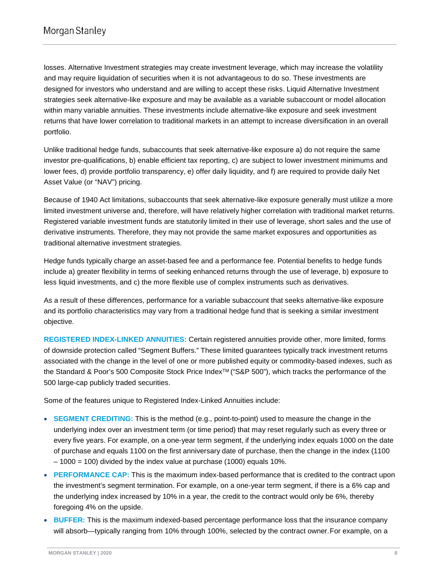losses. Alternative Investment strategies may create investment leverage, which may increase the volatility and may require liquidation of securities when it is not advantageous to do so. These investments are designed for investors who understand and are willing to accept these risks. Liquid Alternative Investment strategies seek alternative-like exposure and may be available as a variable subaccount or model allocation within many variable annuities. These investments include alternative-like exposure and seek investment returns that have lower correlation to traditional markets in an attempt to increase diversification in an overall portfolio.

Unlike traditional hedge funds, subaccounts that seek alternative-like exposure a) do not require the same investor pre-qualifications, b) enable efficient tax reporting, c) are subject to lower investment minimums and lower fees, d) provide portfolio transparency, e) offer daily liquidity, and f) are required to provide daily Net Asset Value (or "NAV") pricing.

Because of 1940 Act limitations, subaccounts that seek alternative-like exposure generally must utilize a more limited investment universe and, therefore, will have relatively higher correlation with traditional market returns. Registered variable investment funds are statutorily limited in their use of leverage, short sales and the use of derivative instruments. Therefore, they may not provide the same market exposures and opportunities as traditional alternative investment strategies.

Hedge funds typically charge an asset-based fee and a performance fee. Potential benefits to hedge funds include a) greater flexibility in terms of seeking enhanced returns through the use of leverage, b) exposure to less liquid investments, and c) the more flexible use of complex instruments such as derivatives.

As a result of these differences, performance for a variable subaccount that seeks alternative-like exposure and its portfolio characteristics may vary from a traditional hedge fund that is seeking a similar investment objective.

**REGISTERED INDEX-LINKED ANNUITIES:** Certain registered annuities provide other, more limited, forms of downside protection called "Segment Buffers." These limited guarantees typically track investment returns associated with the change in the level of one or more published equity or commodity-based indexes, such as the Standard & Poor's 500 Composite Stock Price IndexTM ("S&P 500"), which tracks the performance of the 500 large-cap publicly traded securities.

Some of the features unique to Registered Index-Linked Annuities include:

- **SEGMENT CREDITING:** This is the method (e.g., point-to-point) used to measure the change in the underlying index over an investment term (or time period) that may reset regularly such as every three or every five years. For example, on a one-year term segment, if the underlying index equals 1000 on the date of purchase and equals 1100 on the first anniversary date of purchase, then the change in the index (1100 – 1000 = 100) divided by the index value at purchase (1000) equals 10%.
- **PERFORMANCE CAP:** This is the maximum index-based performance that is credited to the contract upon the investment's segment termination. For example, on a one-year term segment, if there is a 6% cap and the underlying index increased by 10% in a year, the credit to the contract would only be 6%, thereby foregoing 4% on the upside.
- **BUFFER:** This is the maximum indexed-based percentage performance loss that the insurance company will absorb—typically ranging from 10% through 100%, selected by the contract owner.For example, on a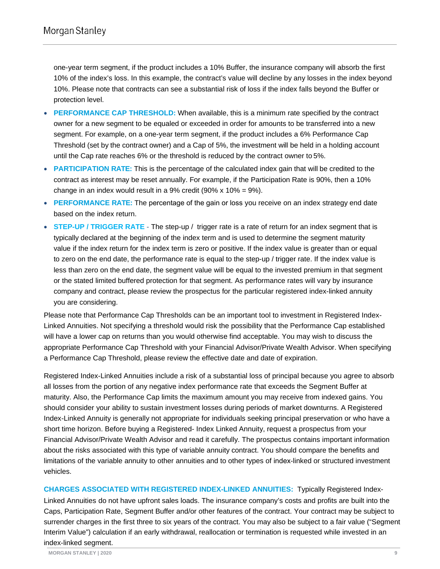one-year term segment, if the product includes a 10% Buffer, the insurance company will absorb the first 10% of the index's loss. In this example, the contract's value will decline by any losses in the index beyond 10%. Please note that contracts can see a substantial risk of loss if the index falls beyond the Buffer or protection level.

- **PERFORMANCE CAP THRESHOLD:** When available, this is a minimum rate specified by the contract owner for a new segment to be equaled or exceeded in order for amounts to be transferred into a new segment. For example, on a one-year term segment, if the product includes a 6% Performance Cap Threshold (set by the contract owner) and a Cap of 5%, the investment will be held in a holding account until the Cap rate reaches 6% or the threshold is reduced by the contract owner to 5%.
- **PARTICIPATION RATE:** This is the percentage of the calculated index gain that will be credited to the contract as interest may be reset annually. For example, if the Participation Rate is 90%, then a 10% change in an index would result in a 9% credit (90%  $x$  10% = 9%).
- **PERFORMANCE RATE:** The percentage of the gain or loss you receive on an index strategy end date based on the index return.
- **STEP-UP / TRIGGER RATE** The step-up / trigger rate is a rate of return for an index segment that is typically declared at the beginning of the index term and is used to determine the segment maturity value if the index return for the index term is zero or positive. If the index value is greater than or equal to zero on the end date, the performance rate is equal to the step-up / trigger rate. If the index value is less than zero on the end date, the segment value will be equal to the invested premium in that segment or the stated limited buffered protection for that segment. As performance rates will vary by insurance company and contract, please review the prospectus for the particular registered index-linked annuity you are considering.

Please note that Performance Cap Thresholds can be an important tool to investment in Registered Index-Linked Annuities. Not specifying a threshold would risk the possibility that the Performance Cap established will have a lower cap on returns than you would otherwise find acceptable. You may wish to discuss the appropriate Performance Cap Threshold with your Financial Advisor/Private Wealth Advisor. When specifying a Performance Cap Threshold, please review the effective date and date of expiration.

Registered Index-Linked Annuities include a risk of a substantial loss of principal because you agree to absorb all losses from the portion of any negative index performance rate that exceeds the Segment Buffer at maturity. Also, the Performance Cap limits the maximum amount you may receive from indexed gains. You should consider your ability to sustain investment losses during periods of market downturns. A Registered Index-Linked Annuity is generally not appropriate for individuals seeking principal preservation or who have a short time horizon. Before buying a Registered- Index Linked Annuity, request a prospectus from your Financial Advisor/Private Wealth Advisor and read it carefully. The prospectus contains important information about the risks associated with this type of variable annuity contract. You should compare the benefits and limitations of the variable annuity to other annuities and to other types of index-linked or structured investment vehicles.

**CHARGES ASSOCIATED WITH REGISTERED INDEX-LINKED ANNUITIES:** Typically Registered Index-Linked Annuities do not have upfront sales loads. The insurance company's costs and profits are built into the Caps, Participation Rate, Segment Buffer and/or other features of the contract. Your contract may be subject to surrender charges in the first three to six years of the contract. You may also be subject to a fair value ("Segment Interim Value") calculation if an early withdrawal, reallocation or termination is requested while invested in an index-linked segment.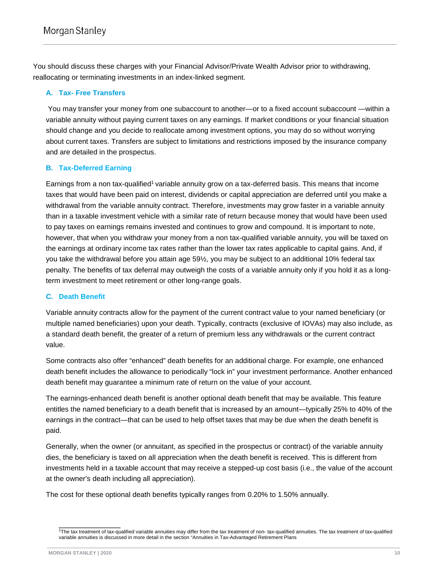You should discuss these charges with your Financial Advisor/Private Wealth Advisor prior to withdrawing, reallocating or terminating investments in an index-linked segment.

#### **A. Tax- Free Transfers**

You may transfer your money from one subaccount to another—or to a fixed account subaccount —within a variable annuity without paying current taxes on any earnings. If market conditions or your financial situation should change and you decide to reallocate among investment options, you may do so without worrying about current taxes. Transfers are subject to limitations and restrictions imposed by the insurance company and are detailed in the prospectus.

#### **B. Tax-Deferred Earning**

Earnings from a non tax-qualified<sup>1</sup> variable annuity grow on a tax-deferred basis. This means that income taxes that would have been paid on interest, dividends or capital appreciation are deferred until you make a withdrawal from the variable annuity contract. Therefore, investments may grow faster in a variable annuity than in a taxable investment vehicle with a similar rate of return because money that would have been used to pay taxes on earnings remains invested and continues to grow and compound. It is important to note, however, that when you withdraw your money from a non tax-qualified variable annuity, you will be taxed on the earnings at ordinary income tax rates rather than the lower tax rates applicable to capital gains. And, if you take the withdrawal before you attain age 59½, you may be subject to an additional 10% federal tax penalty. The benefits of tax deferral may outweigh the costs of a variable annuity only if you hold it as a longterm investment to meet retirement or other long-range goals.

#### **C. Death Benefit**

Variable annuity contracts allow for the payment of the current contract value to your named beneficiary (or multiple named beneficiaries) upon your death. Typically, contracts (exclusive of IOVAs) may also include, as a standard death benefit, the greater of a return of premium less any withdrawals or the current contract value.

Some contracts also offer "enhanced" death benefits for an additional charge. For example, one enhanced death benefit includes the allowance to periodically "lock in" your investment performance. Another enhanced death benefit may guarantee a minimum rate of return on the value of your account.

The earnings-enhanced death benefit is another optional death benefit that may be available. This feature entitles the named beneficiary to a death benefit that is increased by an amount—typically 25% to 40% of the earnings in the contract—that can be used to help offset taxes that may be due when the death benefit is paid.

Generally, when the owner (or annuitant, as specified in the prospectus or contract) of the variable annuity dies, the beneficiary is taxed on all appreciation when the death benefit is received. This is different from investments held in a taxable account that may receive a stepped-up cost basis (i.e., the value of the account at the owner's death including all appreciation).

The cost for these optional death benefits typically ranges from 0.20% to 1.50% annually.

 $\overline{\phantom{a}}$  , where  $\overline{\phantom{a}}$ 1The tax treatment of tax-qualified variable annuities may differ from the tax treatment of non- tax-qualified annuities. The tax treatment of tax-qualified variable annuities is discussed in more detail in the section "Annuities in Tax-Advantaged Retirement Plans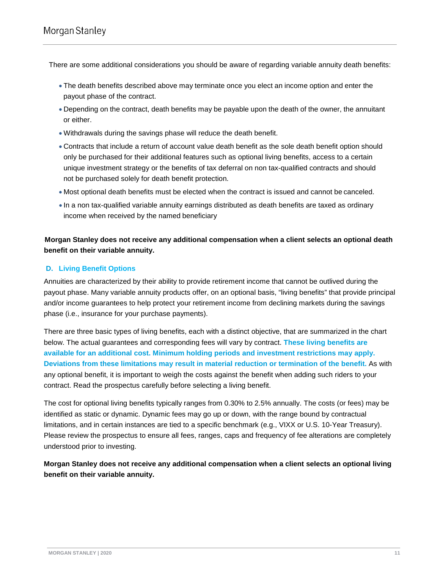There are some additional considerations you should be aware of regarding variable annuity death benefits:

- The death benefits described above may terminate once you elect an income option and enter the payout phase of the contract.
- Depending on the contract, death benefits may be payable upon the death of the owner, the annuitant or either.
- Withdrawals during the savings phase will reduce the death benefit.
- Contracts that include a return of account value death benefit as the sole death benefit option should only be purchased for their additional features such as optional living benefits, access to a certain unique investment strategy or the benefits of tax deferral on non tax-qualified contracts and should not be purchased solely for death benefit protection.
- Most optional death benefits must be elected when the contract is issued and cannot be canceled.
- In a non tax-qualified variable annuity earnings distributed as death benefits are taxed as ordinary income when received by the named beneficiary

<span id="page-11-0"></span>**. Morgan Stanley does not receive any additional compensation when a client selects an optional death benefit on their variable annuity.**

#### **D. Living Benefit Options**

Annuities are characterized by their ability to provide retirement income that cannot be outlived during the payout phase. Many variable annuity products offer, on an optional basis, "living benefits" that provide principal and/or income guarantees to help protect your retirement income from declining markets during the savings phase (i.e., insurance for your purchase payments).

There are three basic types of living benefits, each with a distinct objective, that are summarized in the chart below. The actual guarantees and corresponding fees will vary by contract. **These living benefits are available for an additional cost. Minimum holding periods and investment restrictions may apply. Deviations from these limitations may result in material reduction or termination of the benefit.** As with any optional benefit, it is important to weigh the costs against the benefit when adding such riders to your contract. Read the prospectus carefully before selecting a living benefit.

The cost for optional living benefits typically ranges from 0.30% to 2.5% annually. The costs (or fees) may be identified as static or dynamic. Dynamic fees may go up or down, with the range bound by contractual limitations, and in certain instances are tied to a specific benchmark (e.g., VIXX or U.S. 10-Year Treasury). Please review the prospectus to ensure all fees, ranges, caps and frequency of fee alterations are completely understood prior to investing.

**Morgan Stanley does not receive any additional compensation when a client selects an optional living benefit on their variable annuity.**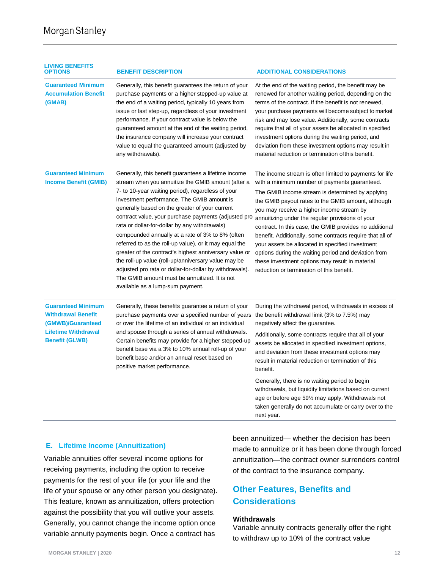| <b>LIVING BENEFITS</b><br>OPTIONS                                                                                                  | <b>BENEFIT DESCRIPTION</b>                                                                                                                                                                                                                                                                                                                                                                                                                                                                                                                                                                                                                                                                                                                              | <b>ADDITIONAL CONSIDERATIONS</b>                                                                                                                                                                                                                                                                                                                                                                                                                                                                                                                                                                                                                        |
|------------------------------------------------------------------------------------------------------------------------------------|---------------------------------------------------------------------------------------------------------------------------------------------------------------------------------------------------------------------------------------------------------------------------------------------------------------------------------------------------------------------------------------------------------------------------------------------------------------------------------------------------------------------------------------------------------------------------------------------------------------------------------------------------------------------------------------------------------------------------------------------------------|---------------------------------------------------------------------------------------------------------------------------------------------------------------------------------------------------------------------------------------------------------------------------------------------------------------------------------------------------------------------------------------------------------------------------------------------------------------------------------------------------------------------------------------------------------------------------------------------------------------------------------------------------------|
| <b>Guaranteed Minimum</b><br><b>Accumulation Benefit</b><br>(GMAB)                                                                 | Generally, this benefit guarantees the return of your<br>purchase payments or a higher stepped-up value at<br>the end of a waiting period, typically 10 years from<br>issue or last step-up, regardless of your investment<br>performance. If your contract value is below the<br>guaranteed amount at the end of the waiting period,<br>the insurance company will increase your contract<br>value to equal the guaranteed amount (adjusted by<br>any withdrawals).                                                                                                                                                                                                                                                                                    | At the end of the waiting period, the benefit may be<br>renewed for another waiting period, depending on the<br>terms of the contract. If the benefit is not renewed,<br>your purchase payments will become subject to market<br>risk and may lose value. Additionally, some contracts<br>require that all of your assets be allocated in specified<br>investment options during the waiting period, and<br>deviation from these investment options may result in<br>material reduction or termination of this benefit.                                                                                                                                 |
| <b>Guaranteed Minimum</b><br><b>Income Benefit (GMIB)</b>                                                                          | Generally, this benefit guarantees a lifetime income<br>stream when you annuitize the GMIB amount (after a<br>7- to 10-year waiting period), regardless of your<br>investment performance. The GMIB amount is<br>generally based on the greater of your current<br>contract value, your purchase payments (adjusted pro<br>rata or dollar-for-dollar by any withdrawals)<br>compounded annually at a rate of 3% to 8% (often<br>referred to as the roll-up value), or it may equal the<br>greater of the contract's highest anniversary value or<br>the roll-up value (roll-up/anniversary value may be<br>adjusted pro rata or dollar-for-dollar by withdrawals).<br>The GMIB amount must be annuitized. It is not<br>available as a lump-sum payment. | The income stream is often limited to payments for life<br>with a minimum number of payments guaranteed.<br>The GMIB income stream is determined by applying<br>the GMIB payout rates to the GMIB amount, although<br>you may receive a higher income stream by<br>annuitizing under the regular provisions of your<br>contract. In this case, the GMIB provides no additional<br>benefit. Additionally, some contracts require that all of<br>your assets be allocated in specified investment<br>options during the waiting period and deviation from<br>these investment options may result in material<br>reduction or termination of this benefit. |
| <b>Guaranteed Minimum</b><br><b>Withdrawal Benefit</b><br>(GMWB)/Guaranteed<br><b>Lifetime Withdrawal</b><br><b>Benefit (GLWB)</b> | Generally, these benefits guarantee a return of your<br>purchase payments over a specified number of years<br>or over the lifetime of an individual or an individual<br>and spouse through a series of annual withdrawals.<br>Certain benefits may provide for a higher stepped-up<br>benefit base via a 3% to 10% annual roll-up of your<br>benefit base and/or an annual reset based on<br>positive market performance.                                                                                                                                                                                                                                                                                                                               | During the withdrawal period, withdrawals in excess of<br>the benefit withdrawal limit (3% to 7.5%) may<br>negatively affect the guarantee.<br>Additionally, some contracts require that all of your<br>assets be allocated in specified investment options,<br>and deviation from these investment options may<br>result in material reduction or termination of this<br>benefit.                                                                                                                                                                                                                                                                      |
|                                                                                                                                    |                                                                                                                                                                                                                                                                                                                                                                                                                                                                                                                                                                                                                                                                                                                                                         | Generally, there is no waiting period to begin<br>withdrawals, but liquidity limitations based on current<br>age or before age 59% may apply. Withdrawals not<br>taken generally do not accumulate or carry over to the<br>next year.                                                                                                                                                                                                                                                                                                                                                                                                                   |

#### **E. Lifetime Income (Annuitization)**

Variable annuities offer several income options for receiving payments, including the option to receive payments for the rest of your life (or your life and the life of your spouse or any other person you designate). This feature, known as annuitization, offers protection against the possibility that you will outlive your assets. Generally, you cannot change the income option once variable annuity payments begin. Once a contract has

been annuitized— whether the decision has been made to annuitize or it has been done through forced annuitization—the contract owner surrenders control of the contract to the insurance company.

### **Other Features, Benefits and Considerations**

#### **Withdrawals**

Variable annuity contracts generally offer the right to withdraw up to 10% of the contract value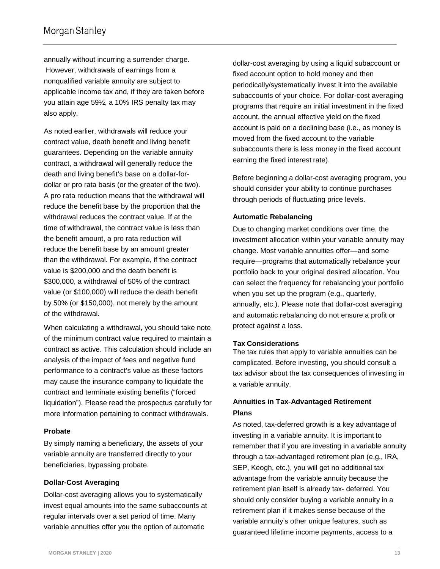annually without incurring a surrender charge. However, withdrawals of earnings from a nonqualified variable annuity are subject to applicable income tax and, if they are taken before you attain age 59½, a 10% IRS penalty tax may also apply.

As noted earlier, withdrawals will reduce your contract value, death benefit and living benefit guarantees. Depending on the variable annuity contract, a withdrawal will generally reduce the death and living benefit's base on a dollar-fordollar or pro rata basis (or the greater of the two). A pro rata reduction means that the withdrawal will reduce the benefit base by the proportion that the withdrawal reduces the contract value. If at the time of withdrawal, the contract value is less than the benefit amount, a pro rata reduction will reduce the benefit base by an amount greater than the withdrawal. For example, if the contract value is \$200,000 and the death benefit is \$300,000, a withdrawal of 50% of the contract value (or \$100,000) will reduce the death benefit by 50% (or \$150,000), not merely by the amount of the withdrawal.

When calculating a withdrawal, you should take note of the minimum contract value required to maintain a contract as active. This calculation should include an analysis of the impact of fees and negative fund performance to a contract's value as these factors may cause the insurance company to liquidate the contract and terminate existing benefits ("forced liquidation"). Please read the prospectus carefully for more information pertaining to contract withdrawals.

#### **Probate**

By simply naming a beneficiary, the assets of your variable annuity are transferred directly to your beneficiaries, bypassing probate.

#### **Dollar-Cost Averaging**

Dollar-cost averaging allows you to systematically invest equal amounts into the same subaccounts at regular intervals over a set period of time. Many variable annuities offer you the option of automatic

dollar-cost averaging by using a liquid subaccount or fixed account option to hold money and then periodically/systematically invest it into the available subaccounts of your choice. For dollar-cost averaging programs that require an initial investment in the fixed account, the annual effective yield on the fixed account is paid on a declining base (i.e., as money is moved from the fixed account to the variable subaccounts there is less money in the fixed account earning the fixed interest rate).

Before beginning a dollar-cost averaging program, you should consider your ability to continue purchases through periods of fluctuating price levels.

#### **Automatic Rebalancing**

Due to changing market conditions over time, the investment allocation within your variable annuity may change. Most variable annuities offer—and some require—programs that automatically rebalance your portfolio back to your original desired allocation. You can select the frequency for rebalancing your portfolio when you set up the program (e.g., quarterly, annually, etc.). Please note that dollar-cost averaging and automatic rebalancing do not ensure a profit or protect against a loss.

#### **Tax Considerations**

The tax rules that apply to variable annuities can be complicated. Before investing, you should consult a tax advisor about the tax consequences of investing in a variable annuity.

#### **Annuities in Tax-Advantaged Retirement Plans**

As noted, tax-deferred growth is a key advantage of investing in a variable annuity. It is important to remember that if you are investing in a variable annuity through a tax-advantaged retirement plan (e.g., IRA, SEP, Keogh, etc.), you will get no additional tax advantage from the variable annuity because the retirement plan itself is already tax- deferred. You should only consider buying a variable annuity in a retirement plan if it makes sense because of the variable annuity's other unique features, such as guaranteed lifetime income payments, access to a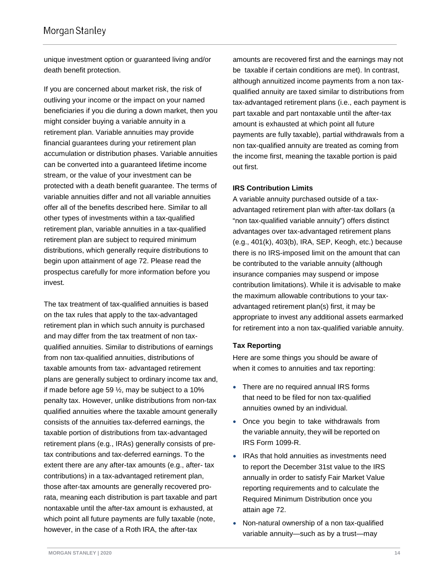unique investment option or guaranteed living and/or death benefit protection.

If you are concerned about market risk, the risk of outliving your income or the impact on your named beneficiaries if you die during a down market, then you might consider buying a variable annuity in a retirement plan. Variable annuities may provide financial guarantees during your retirement plan accumulation or distribution phases. Variable annuities can be converted into a guaranteed lifetime income stream, or the value of your investment can be protected with a death benefit guarantee. The terms of variable annuities differ and not all variable annuities offer all of the benefits described here. Similar to all other types of investments within a tax-qualified retirement plan, variable annuities in a tax-qualified retirement plan are subject to required minimum distributions, which generally require distributions to begin upon attainment of age 72. Please read the prospectus carefully for more information before you invest.

The tax treatment of tax-qualified annuities is based on the tax rules that apply to the tax-advantaged retirement plan in which such annuity is purchased and may differ from the tax treatment of non taxqualified annuities. Similar to distributions of earnings from non tax-qualified annuities, distributions of taxable amounts from tax- advantaged retirement plans are generally subject to ordinary income tax and, if made before age 59  $\frac{1}{2}$ , may be subject to a 10% penalty tax. However, unlike distributions from non-tax qualified annuities where the taxable amount generally consists of the annuities tax-deferred earnings, the taxable portion of distributions from tax-advantaged retirement plans (e.g., IRAs) generally consists of pretax contributions and tax-deferred earnings. To the extent there are any after-tax amounts (e.g., after- tax contributions) in a tax-advantaged retirement plan, those after-tax amounts are generally recovered prorata, meaning each distribution is part taxable and part nontaxable until the after-tax amount is exhausted, at which point all future payments are fully taxable (note, however, in the case of a Roth IRA, the after-tax

amounts are recovered first and the earnings may not be taxable if certain conditions are met). In contrast, although annuitized income payments from a non taxqualified annuity are taxed similar to distributions from tax-advantaged retirement plans (i.e., each payment is part taxable and part nontaxable until the after-tax amount is exhausted at which point all future payments are fully taxable), partial withdrawals from a non tax-qualified annuity are treated as coming from the income first, meaning the taxable portion is paid out first.

#### **IRS Contribution Limits**

A variable annuity purchased outside of a taxadvantaged retirement plan with after-tax dollars (a "non tax-qualified variable annuity") offers distinct advantages over tax-advantaged retirement plans (e.g., 401(k), 403(b), IRA, SEP, Keogh, etc.) because there is no IRS-imposed limit on the amount that can be contributed to the variable annuity (although insurance companies may suspend or impose contribution limitations). While it is advisable to make the maximum allowable contributions to your taxadvantaged retirement plan(s) first, it may be appropriate to invest any additional assets earmarked for retirement into a non tax-qualified variable annuity.

#### **Tax Reporting**

Here are some things you should be aware of when it comes to annuities and tax reporting:

- There are no required annual IRS forms that need to be filed for non tax-qualified annuities owned by an individual.
- Once you begin to take withdrawals from the variable annuity, they will be reported on IRS Form 1099-R.
- IRAs that hold annuities as investments need to report the December 31st value to the IRS annually in order to satisfy Fair Market Value reporting requirements and to calculate the Required Minimum Distribution once you attain age 72.
- Non-natural ownership of a non tax-qualified variable annuity—such as by a trust—may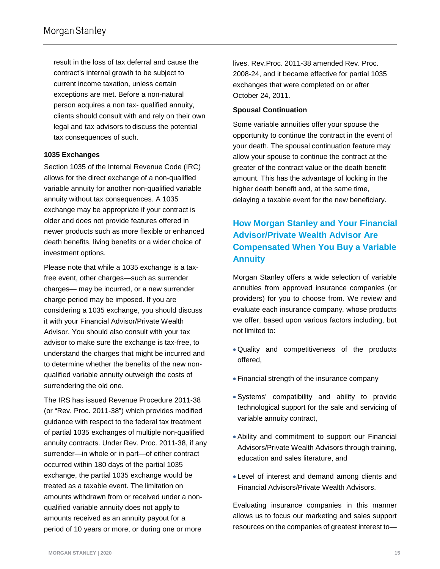result in the loss of tax deferral and cause the contract's internal growth to be subject to current income taxation, unless certain exceptions are met. Before a non-natural person acquires a non tax- qualified annuity, clients should consult with and rely on their own legal and tax advisors to discuss the potential tax consequences of such.

#### **1035 Exchanges**

Section 1035 of the Internal Revenue Code (IRC) allows for the direct exchange of a non-qualified variable annuity for another non-qualified variable annuity without tax consequences. A 1035 exchange may be appropriate if your contract is older and does not provide features offered in newer products such as more flexible or enhanced death benefits, living benefits or a wider choice of investment options.

Please note that while a 1035 exchange is a taxfree event, other charges—such as surrender charges— may be incurred, or a new surrender charge period may be imposed. If you are considering a 1035 exchange, you should discuss it with your Financial Advisor/Private Wealth Advisor. You should also consult with your tax advisor to make sure the exchange is tax-free, to understand the charges that might be incurred and to determine whether the benefits of the new nonqualified variable annuity outweigh the costs of surrendering the old one.

The IRS has issued Revenue Procedure 2011-38 (or "Rev. Proc. 2011-38") which provides modified guidance with respect to the federal tax treatment of partial 1035 exchanges of multiple non-qualified annuity contracts. Under Rev. Proc. 2011-38, if any surrender—in whole or in part—of either contract occurred within 180 days of the partial 1035 exchange, the partial 1035 exchange would be treated as a taxable event. The limitation on amounts withdrawn from or received under a nonqualified variable annuity does not apply to amounts received as an annuity payout for a period of 10 years or more, or during one or more

lives. Rev.Proc. 2011-38 amended Rev. Proc. 2008-24, and it became effective for partial 1035 exchanges that were completed on or after October 24, 2011.

#### **Spousal Continuation**

Some variable annuities offer your spouse the opportunity to continue the contract in the event of your death. The spousal continuation feature may allow your spouse to continue the contract at the greater of the contract value or the death benefit amount. This has the advantage of locking in the higher death benefit and, at the same time, delaying a taxable event for the new beneficiary.

# **How Morgan Stanley and Your Financial Advisor/Private Wealth Advisor Are Compensated When You Buy a Variable Annuity**

Morgan Stanley offers a wide selection of variable annuities from approved insurance companies (or providers) for you to choose from. We review and evaluate each insurance company, whose products we offer, based upon various factors including, but not limited to:

- Quality and competitiveness of the products offered,
- Financial strength of the insurance company
- Systems' compatibility and ability to provide technological support for the sale and servicing of variable annuity contract,
- Ability and commitment to support our Financial Advisors/Private Wealth Advisors through training, education and sales literature, and
- Level of interest and demand among clients and Financial Advisors/Private Wealth Advisors.

Evaluating insurance companies in this manner allows us to focus our marketing and sales support resources on the companies of greatest interest to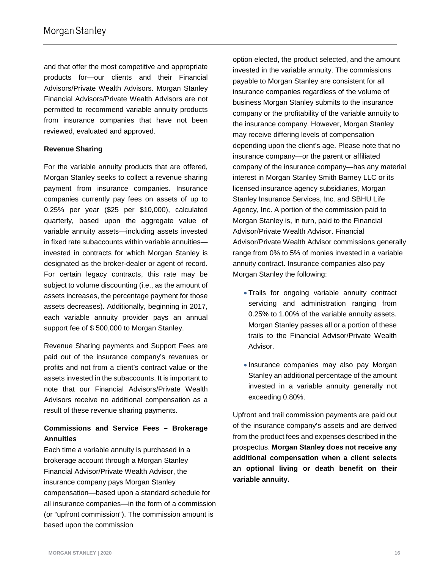and that offer the most competitive and appropriate products for—our clients and their Financial Advisors/Private Wealth Advisors. Morgan Stanley Financial Advisors/Private Wealth Advisors are not permitted to recommend variable annuity products from insurance companies that have not been reviewed, evaluated and approved.

#### **Revenue Sharing**

For the variable annuity products that are offered, Morgan Stanley seeks to collect a revenue sharing payment from insurance companies. Insurance companies currently pay fees on assets of up to 0.25% per year (\$25 per \$10,000), calculated quarterly, based upon the aggregate value of variable annuity assets—including assets invested in fixed rate subaccounts within variable annuities invested in contracts for which Morgan Stanley is designated as the broker-dealer or agent of record. For certain legacy contracts, this rate may be subject to volume discounting (i.e., as the amount of assets increases, the percentage payment for those assets decreases). Additionally, beginning in 2017, each variable annuity provider pays an annual support fee of \$ 500,000 to Morgan Stanley.

Revenue Sharing payments and Support Fees are paid out of the insurance company's revenues or profits and not from a client's contract value or the assets invested in the subaccounts. It is important to note that our Financial Advisors/Private Wealth Advisors receive no additional compensation as a result of these revenue sharing payments.

#### **Commissions and Service Fees – Brokerage Annuities**

Each time a variable annuity is purchased in a brokerage account through a Morgan Stanley Financial Advisor/Private Wealth Advisor, the insurance company pays Morgan Stanley compensation—based upon a standard schedule for all insurance companies—in the form of a commission (or "upfront commission"). The commission amount is based upon the commission

option elected, the product selected, and the amount invested in the variable annuity. The commissions payable to Morgan Stanley are consistent for all insurance companies regardless of the volume of business Morgan Stanley submits to the insurance company or the profitability of the variable annuity to the insurance company. However, Morgan Stanley may receive differing levels of compensation depending upon the client's age. Please note that no insurance company—or the parent or affiliated company of the insurance company—has any material interest in Morgan Stanley Smith Barney LLC or its licensed insurance agency subsidiaries, Morgan Stanley Insurance Services, Inc. and SBHU Life Agency, Inc. A portion of the commission paid to Morgan Stanley is, in turn, paid to the Financial Advisor/Private Wealth Advisor. Financial Advisor/Private Wealth Advisor commissions generally range from 0% to 5% of monies invested in a variable annuity contract. Insurance companies also pay Morgan Stanley the following:

- Trails for ongoing variable annuity contract servicing and administration ranging from 0.25% to 1.00% of the variable annuity assets. Morgan Stanley passes all or a portion of these trails to the Financial Advisor/Private Wealth Advisor.
- Insurance companies may also pay Morgan Stanley an additional percentage of the amount invested in a variable annuity generally not exceeding 0.80%.

Upfront and trail commission payments are paid out of the insurance company's assets and are derived from the product fees and expenses described in the prospectus. **Morgan Stanley does not receive any additional compensation when a client selects an optional living or death benefit on their variable annuity.**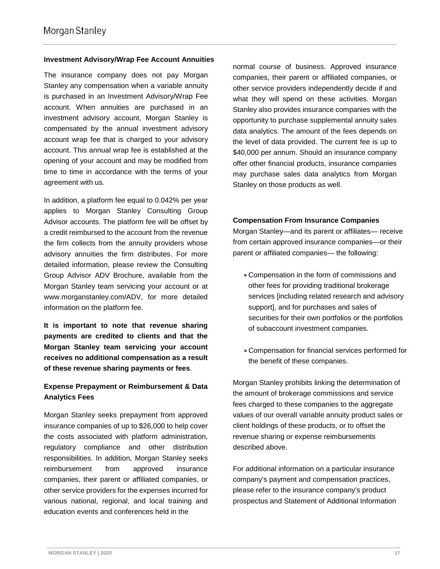#### **Investment Advisory/Wrap Fee Account Annuities**

The insurance company does not pay Morgan Stanley any compensation when a variable annuity is purchased in an Investment Advisory/Wrap Fee account. When annuities are purchased in an investment advisory account, Morgan Stanley is compensated by the annual investment advisory account wrap fee that is charged to your advisory account. This annual wrap fee is established at the opening of your account and may be modified from time to time in accordance with the terms of your agreement with us.

In addition, a platform fee equal to 0.042% per year applies to Morgan Stanley Consulting Group Advisor accounts. The platform fee will be offset by a credit reimbursed to the account from the revenue the firm collects from the annuity providers whose advisory annuities the firm distributes. For more detailed information, please review the Consulting Group Advisor ADV Brochure, available from the Morgan Stanley team servicing your account or at www.morganstanley.com/ADV, for more detailed information on the platform fee.

**It is important to note that revenue sharing payments are credited to clients and that the Morgan Stanley team servicing your account receives no additional compensation as a result of these revenue sharing payments or fees**.

#### **Expense Prepayment or Reimbursement & Data Analytics Fees**

Morgan Stanley seeks prepayment from approved insurance companies of up to \$26,000 to help cover the costs associated with platform administration, regulatory compliance and other distribution responsibilities. In addition, Morgan Stanley seeks reimbursement from approved insurance companies, their parent or affiliated companies, or other service providers for the expenses incurred for various national, regional, and local training and education events and conferences held in the

normal course of business. Approved insurance companies, their parent or affiliated companies, or other service providers independently decide if and what they will spend on these activities. Morgan Stanley also provides insurance companies with the opportunity to purchase supplemental annuity sales data analytics. The amount of the fees depends on the level of data provided. The current fee is up to \$40,000 per annum. Should an insurance company offer other financial products, insurance companies may purchase sales data analytics from Morgan Stanley on those products as well.

#### **Compensation From Insurance Companies**

Morgan Stanley—and its parent or affiliates— receive from certain approved insurance companies—or their parent or affiliated companies— the following:

- Compensation in the form of commissions and other fees for providing traditional brokerage services [including related research and advisory support], and for purchases and sales of securities for their own portfolios or the portfolios of subaccount investment companies.
- Compensation for financial services performed for the benefit of these companies.

Morgan Stanley prohibits linking the determination of the amount of brokerage commissions and service fees charged to these companies to the aggregate values of our overall variable annuity product sales or client holdings of these products, or to offset the revenue sharing or expense reimbursements described above.

For additional information on a particular insurance company's payment and compensation practices, please refer to the insurance company's product prospectus and Statement of Additional Information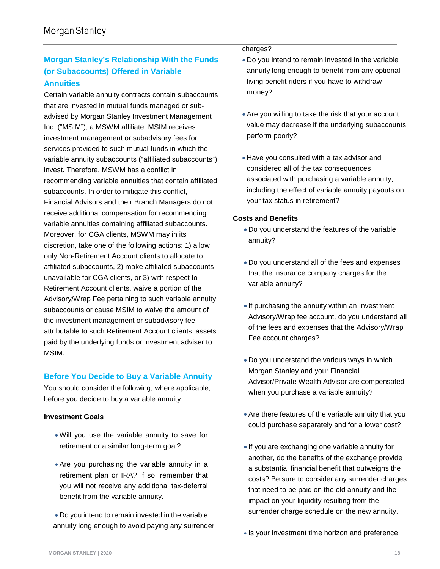# **Morgan Stanley's Relationship With the Funds (or Subaccounts) Offered in Variable Annuities**

Certain variable annuity contracts contain subaccounts that are invested in mutual funds managed or subadvised by Morgan Stanley Investment Management Inc. ("MSIM"), a MSWM affiliate. MSIM receives investment management or subadvisory fees for services provided to such mutual funds in which the variable annuity subaccounts ("affiliated subaccounts") invest. Therefore, MSWM has a conflict in recommending variable annuities that contain affiliated subaccounts. In order to mitigate this conflict, Financial Advisors and their Branch Managers do not receive additional compensation for recommending variable annuities containing affiliated subaccounts. Moreover, for CGA clients, MSWM may in its discretion, take one of the following actions: 1) allow only Non-Retirement Account clients to allocate to affiliated subaccounts, 2) make affiliated subaccounts unavailable for CGA clients, or 3) with respect to Retirement Account clients, waive a portion of the Advisory/Wrap Fee pertaining to such variable annuity subaccounts or cause MSIM to waive the amount of the investment management or subadvisory fee attributable to such Retirement Account clients' assets paid by the underlying funds or investment adviser to MSIM.

#### **Before You Decide to Buy a Variable Annuity**

You should consider the following, where applicable, before you decide to buy a variable annuity:

#### **Investment Goals**

- Will you use the variable annuity to save for retirement or a similar long-term goal?
- Are you purchasing the variable annuity in a retirement plan or IRA? If so, remember that you will not receive any additional tax-deferral benefit from the variable annuity.

• Do you intend to remain invested in the variable annuity long enough to avoid paying any surrender

#### charges?

- Do you intend to remain invested in the variable annuity long enough to benefit from any optional living benefit riders if you have to withdraw money?
- Are you willing to take the risk that your account value may decrease if the underlying subaccounts perform poorly?
- Have you consulted with a tax advisor and considered all of the tax consequences associated with purchasing a variable annuity, including the effect of variable annuity payouts on your tax status in retirement?

#### **Costs and Benefits**

- Do you understand the features of the variable annuity?
- Do you understand all of the fees and expenses that the insurance company charges for the variable annuity?
- If purchasing the annuity within an Investment Advisory/Wrap fee account, do you understand all of the fees and expenses that the Advisory/Wrap Fee account charges?
- Do you understand the various ways in which Morgan Stanley and your Financial Advisor/Private Wealth Advisor are compensated when you purchase a variable annuity?
- Are there features of the variable annuity that you could purchase separately and for a lower cost?
- If you are exchanging one variable annuity for another, do the benefits of the exchange provide a substantial financial benefit that outweighs the costs? Be sure to consider any surrender charges that need to be paid on the old annuity and the impact on your liquidity resulting from the surrender charge schedule on the new annuity.
- Is your investment time horizon and preference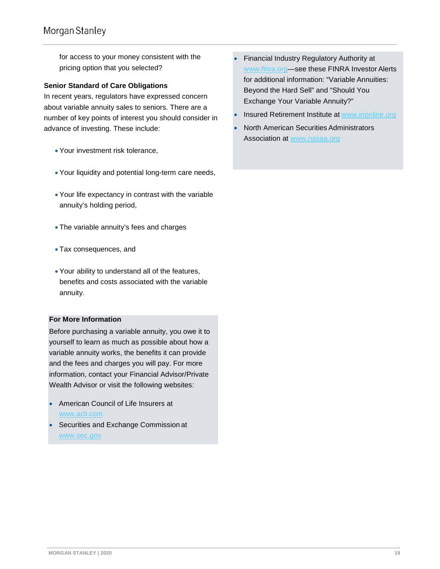for access to your money consistent with the pricing option that you selected?

#### **Senior Standard of Care Obligations**

In recent years, regulators have expressed concern about variable annuity sales to seniors. There are a number of key points of interest you should consider in advance of investing. These include:

- Your investment risk tolerance,
- Your liquidity and potential long-term care needs,
- Your life expectancy in contrast with the variable annuity's holding period,
- The variable annuity's fees and charges
- Tax consequences, and
- Your ability to understand all of the features, benefits and costs associated with the variable annuity.

#### **For More Information**

Before purchasing a variable annuity, you owe it to yourself to learn as much as possible about how a variable annuity works, the benefits it can provide and the fees and charges you will pay. For more information, contact your Financial Advisor/Private Wealth Advisor or visit the following websites:

- American Council of Life Insurers at [www.acli.com](http://www.acli.com/)
- Securities and Exchange Commission at [www.sec.gov](http://www.sec.gov/)
- Financial Industry Regulatory Authority a[t](http://www.finra.org/) [www.finra.org—](http://www.finra.org/)see these FINRA Investor Alerts for additional information: "Variable Annuities: Beyond the Hard Sell" and "Should You Exchange Your Variable Annuity?"
- Insured Retirement Institute at [www.irionline.org](http://www.irionline.org/)
- North American Securities Administrators Association at [www.nasaa.org](http://www.nasaa.org/)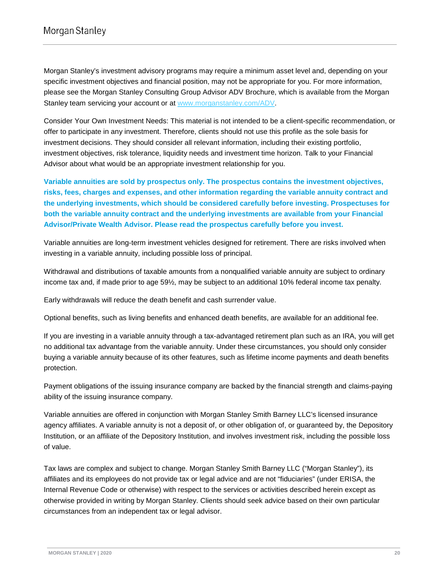Morgan Stanley's investment advisory programs may require a minimum asset level and, depending on your specific investment objectives and financial position, may not be appropriate for you. For more information, please see the Morgan Stanley Consulting Group Advisor ADV Brochure, which is available from the Morgan Stanley team servicing your account or at [www.morganstanley.com/ADV.](http://www.morganstanley.com/ADV)

Consider Your Own Investment Needs: This material is not intended to be a client-specific recommendation, or offer to participate in any investment. Therefore, clients should not use this profile as the sole basis for investment decisions. They should consider all relevant information, including their existing portfolio, investment objectives, risk tolerance, liquidity needs and investment time horizon. Talk to your Financial Advisor about what would be an appropriate investment relationship for you.

**Variable annuities are sold by prospectus only. The prospectus contains the investment objectives, risks, fees, charges and expenses, and other information regarding the variable annuity contract and the underlying investments, which should be considered carefully before investing. Prospectuses for both the variable annuity contract and the underlying investments are available from your Financial Advisor/Private Wealth Advisor. Please read the prospectus carefully before you invest.**

Variable annuities are long-term investment vehicles designed for retirement. There are risks involved when investing in a variable annuity, including possible loss of principal.

Withdrawal and distributions of taxable amounts from a nonqualified variable annuity are subject to ordinary income tax and, if made prior to age 59½, may be subject to an additional 10% federal income tax penalty.

Early withdrawals will reduce the death benefit and cash surrender value.

Optional benefits, such as living benefits and enhanced death benefits, are available for an additional fee.

If you are investing in a variable annuity through a tax-advantaged retirement plan such as an IRA, you will get no additional tax advantage from the variable annuity. Under these circumstances, you should only consider buying a variable annuity because of its other features, such as lifetime income payments and death benefits protection.

Payment obligations of the issuing insurance company are backed by the financial strength and claims-paying ability of the issuing insurance company.

Variable annuities are offered in conjunction with Morgan Stanley Smith Barney LLC's licensed insurance agency affiliates. A variable annuity is not a deposit of, or other obligation of, or guaranteed by, the Depository Institution, or an affiliate of the Depository Institution, and involves investment risk, including the possible loss of value.

Tax laws are complex and subject to change. Morgan Stanley Smith Barney LLC ("Morgan Stanley"), its affiliates and its employees do not provide tax or legal advice and are not "fiduciaries" (under ERISA, the Internal Revenue Code or otherwise) with respect to the services or activities described herein except as otherwise provided in writing by Morgan Stanley. Clients should seek advice based on their own particular circumstances from an independent tax or legal advisor.